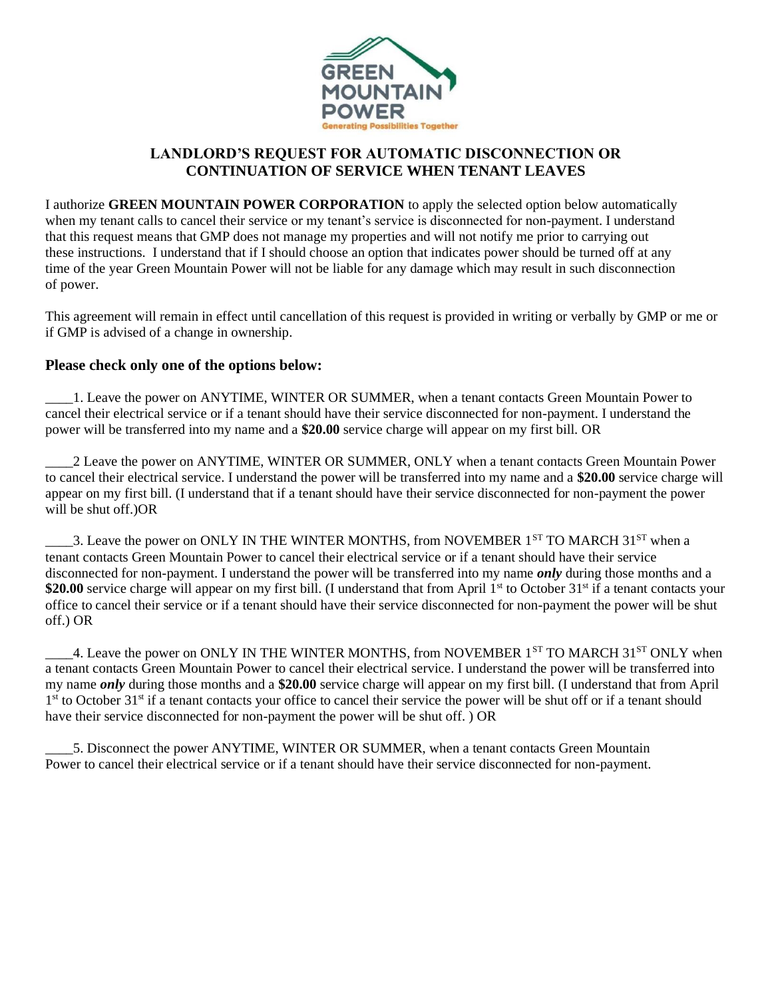

## **LANDLORD'S REQUEST FOR AUTOMATIC DISCONNECTION OR CONTINUATION OF SERVICE WHEN TENANT LEAVES**

I authorize **GREEN MOUNTAIN POWER CORPORATION** to apply the selected option below automatically when my tenant calls to cancel their service or my tenant's service is disconnected for non-payment. I understand that this request means that GMP does not manage my properties and will not notify me prior to carrying out these instructions. I understand that if I should choose an option that indicates power should be turned off at any time of the year Green Mountain Power will not be liable for any damage which may result in such disconnection of power.

This agreement will remain in effect until cancellation of this request is provided in writing or verbally by GMP or me or if GMP is advised of a change in ownership.

## **Please check only one of the options below:**

\_\_\_\_1. Leave the power on ANYTIME, WINTER OR SUMMER, when a tenant contacts Green Mountain Power to cancel their electrical service or if a tenant should have their service disconnected for non-payment. I understand the power will be transferred into my name and a **\$20.00** service charge will appear on my first bill. OR

\_\_\_\_2 Leave the power on ANYTIME, WINTER OR SUMMER, ONLY when a tenant contacts Green Mountain Power to cancel their electrical service. I understand the power will be transferred into my name and a **\$20.00** service charge will appear on my first bill. (I understand that if a tenant should have their service disconnected for non-payment the power will be shut off.)OR

3. Leave the power on ONLY IN THE WINTER MONTHS, from NOVEMBER 1<sup>ST</sup> TO MARCH 31<sup>ST</sup> when a tenant contacts Green Mountain Power to cancel their electrical service or if a tenant should have their service disconnected for non-payment. I understand the power will be transferred into my name *only* during those months and a \$20.00 service charge will appear on my first bill. (I understand that from April 1<sup>st</sup> to October 31<sup>st</sup> if a tenant contacts your office to cancel their service or if a tenant should have their service disconnected for non-payment the power will be shut off.) OR

4. Leave the power on ONLY IN THE WINTER MONTHS, from NOVEMBER 1<sup>ST</sup> TO MARCH 31<sup>ST</sup> ONLY when a tenant contacts Green Mountain Power to cancel their electrical service. I understand the power will be transferred into my name *only* during those months and a **\$20.00** service charge will appear on my first bill. (I understand that from April 1<sup>st</sup> to October 31<sup>st</sup> if a tenant contacts your office to cancel their service the power will be shut off or if a tenant should have their service disconnected for non-payment the power will be shut off. ) OR

\_\_\_\_5. Disconnect the power ANYTIME, WINTER OR SUMMER, when a tenant contacts Green Mountain Power to cancel their electrical service or if a tenant should have their service disconnected for non-payment.